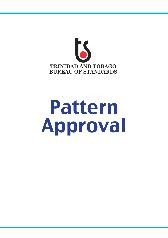

# Pattern Approval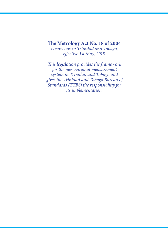**The Metrology Act No. 18 of 2004** *is now law in Trinidad and Tobago, effective 1st May, 2015.*

*This legislation provides the framework for the new national measurement system in Trinidad and Tobago and gives the Trinidad and Tobago Bureau of Standards (TTBS) the responsibility for its implementation.*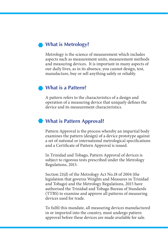## **What is Metrology?**

Metrology is the science of measurement which includes aspects such as measurement units, measurement methods and measuring devices. It is important in many aspects of our daily lives, as in its absence, you cannot design, test, manufacture, buy or sell anything safely or reliably.

### **What is a Pattern?**

A pattern refers to the characteristics of a design and operation of a measuring device that uniquely defines the device and its measurement characteristics.

## **What is Pattern Approval?**

Pattern Approval is the process whereby an impartial body examines the pattern (design) of a device prototype against a set of national or international metrological specifications and a Certificate of Pattern Approval is issued.

In Trinidad and Tobago, Pattern Approval of devices is subject to rigorous tests prescribed under the Metrology Regulations, 2015.

Section 21(d) of the Metrology Act No.18 of 2004 (the legislation that governs Weights and Measures in Trinidad and Tobago) and the Metrology Regulations, 2015 have authorised the Trinidad and Tobago Bureau of Standards (TTBS) to examine and approve all patterns of measuring devices used for trade.

To fulfil this mandate, all measuring devices manufactured in or imported into the country, must undergo pattern approval before these devices are made available for sale.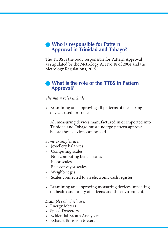## **• Who is responsible for Pattern Approval in Trinidad and Tobago?**

The TTBS is the body responsible for Pattern Approval as stipulated by the Metrology Act No.18 of 2004 and the Metrology Regulations, 2015.

## **What is the role of the TTBS in Pattern Approval?**

*The main roles include:*

• Examining and approving all patterns of measuring devices used for trade.

All measuring devices manufactured in or imported into Trinidad and Tobago must undergo pattern approval before these devices can be sold.

*Some examples are:*

- Jewellery balances
- Computing scales
- Non computing bench scales
- Floor scales
- Belt-conveyor scales
- Weighbridges
- Scales connected to an electronic cash register
- • Examining and approving measuring devices impacting on health and safety of citizens and the environment.

*Examples of which are:*

- Energy Meters
- Speed Detectors
- • Evidential Breath Analysers
- • Exhaust Emission Meters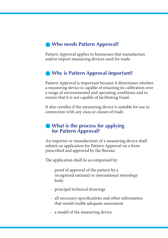## **Who needs Pattern Approval?**

Pattern Approval applies to businesses that manufacture and/or import measuring devices used for trade.

## **Why is Pattern Approval important?**

Pattern Approval is important because it determines whether a measuring device is capable of retaining its calibration over a range of environmental and operating conditions and to ensure that it is not capable of facilitating fraud.

It also certifies if the measuring device is suitable for use in connection with any class or classes of trade.

### **What is the process for applying for Pattern Approval?**

An importer or manufacturer of a measuring device shall submit an application for Pattern Approval on a form prescribed and approved by the Bureau.

The application shall be accompanied by:

- proof of approval of the pattern by a recognized national or international metrology body
- principal technical drawings
- all necessary specifications and other information that would enable adequate assessment
- a model of the measuring device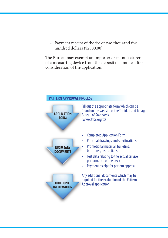- Payment receipt of the fee of two thousand five hundred dollars (\$2500.00)

The Bureau may exempt an importer or manufacturer of a measuring device from the deposit of a model after consideration of the application.

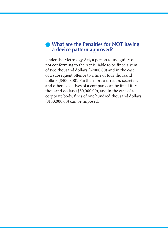## **What are the Penalties for NOT having a device pattern approved?**

Under the Metrology Act, a person found guilty of not conforming to the Act is liable to be fined a sum of two thousand dollars (\$2000.00) and in the case of a subsequent offence to a fine of four thousand dollars (\$4000.00). Furthermore a director, secretary and other executives of a company can be fined fifty thousand dollars (\$50,000.00), and in the case of a corporate body, fines of one hundred thousand dollars (\$100,000.00) can be imposed.